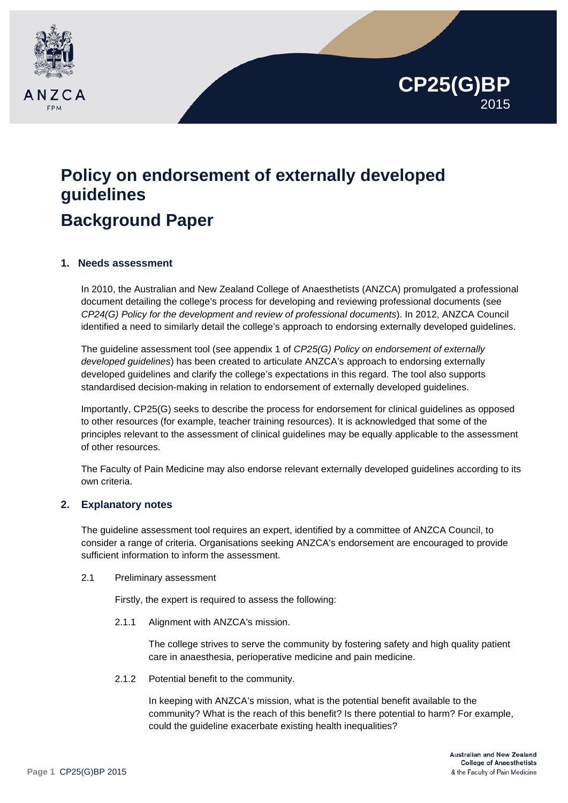

# **Policy on endorsement of externally developed guidelines Background Paper**

## **1. Needs assessment**

In 2010, the Australian and New Zealand College of Anaesthetists (ANZCA) promulgated a professional document detailing the college's process for developing and reviewing professional documents (see *CP24(G) Policy for the development and review of professional documents*). In 2012, ANZCA Council identified a need to similarly detail the college's approach to endorsing externally developed guidelines.

The guideline assessment tool (see appendix 1 of *CP25(G) Policy on endorsement of externally developed guidelines*) has been created to articulate ANZCA's approach to endorsing externally developed guidelines and clarify the college's expectations in this regard. The tool also supports standardised decision-making in relation to endorsement of externally developed guidelines.

Importantly, CP25(G) seeks to describe the process for endorsement for clinical guidelines as opposed to other resources (for example, teacher training resources). It is acknowledged that some of the principles relevant to the assessment of clinical guidelines may be equally applicable to the assessment of other resources.

The Faculty of Pain Medicine may also endorse relevant externally developed guidelines according to its own criteria.

#### **2. Explanatory notes**

The guideline assessment tool requires an expert, identified by a committee of ANZCA Council, to consider a range of criteria. Organisations seeking ANZCA's endorsement are encouraged to provide sufficient information to inform the assessment.

2.1 Preliminary assessment

Firstly, the expert is required to assess the following:

2.1.1 Alignment with ANZCA's mission.

The college strives to serve the community by fostering safety and high quality patient care in anaesthesia, perioperative medicine and pain medicine.

2.1.2 Potential benefit to the community.

In keeping with ANZCA's mission, what is the potential benefit available to the community? What is the reach of this benefit? Is there potential to harm? For example, could the guideline exacerbate existing health inequalities?

**CP25(G)BP**

2015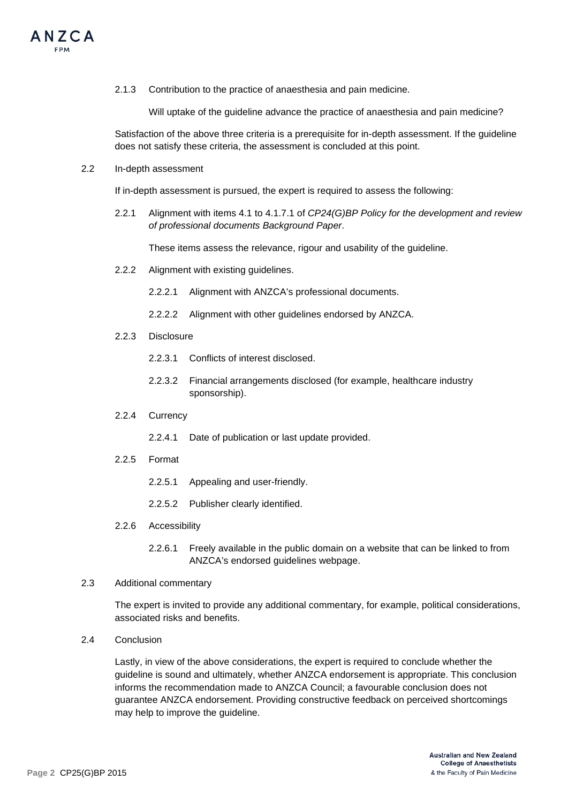

2.1.3 Contribution to the practice of anaesthesia and pain medicine.

Will uptake of the guideline advance the practice of anaesthesia and pain medicine?

Satisfaction of the above three criteria is a prerequisite for in-depth assessment. If the guideline does not satisfy these criteria, the assessment is concluded at this point.

2.2 In-depth assessment

If in-depth assessment is pursued, the expert is required to assess the following:

2.2.1 Alignment with items 4.1 to 4.1.7.1 of *CP24(G)BP Policy for the development and review of professional documents Background Paper*.

These items assess the relevance, rigour and usability of the guideline.

- 2.2.2 Alignment with existing guidelines.
	- 2.2.2.1 Alignment with ANZCA's professional documents.
	- 2.2.2.2 Alignment with other guidelines endorsed by ANZCA.
- 2.2.3 Disclosure
	- 2.2.3.1 Conflicts of interest disclosed.
	- 2.2.3.2 Financial arrangements disclosed (for example, healthcare industry sponsorship).
- 2.2.4 Currency
	- 2.2.4.1 Date of publication or last update provided.
- 2.2.5 Format
	- 2.2.5.1 Appealing and user-friendly.
	- 2.2.5.2 Publisher clearly identified.
- 2.2.6 Accessibility
	- 2.2.6.1 Freely available in the public domain on a website that can be linked to from ANZCA's endorsed guidelines webpage.
- 2.3 Additional commentary

The expert is invited to provide any additional commentary, for example, political considerations, associated risks and benefits.

2.4 Conclusion

Lastly, in view of the above considerations, the expert is required to conclude whether the guideline is sound and ultimately, whether ANZCA endorsement is appropriate. This conclusion informs the recommendation made to ANZCA Council; a favourable conclusion does not guarantee ANZCA endorsement. Providing constructive feedback on perceived shortcomings may help to improve the guideline.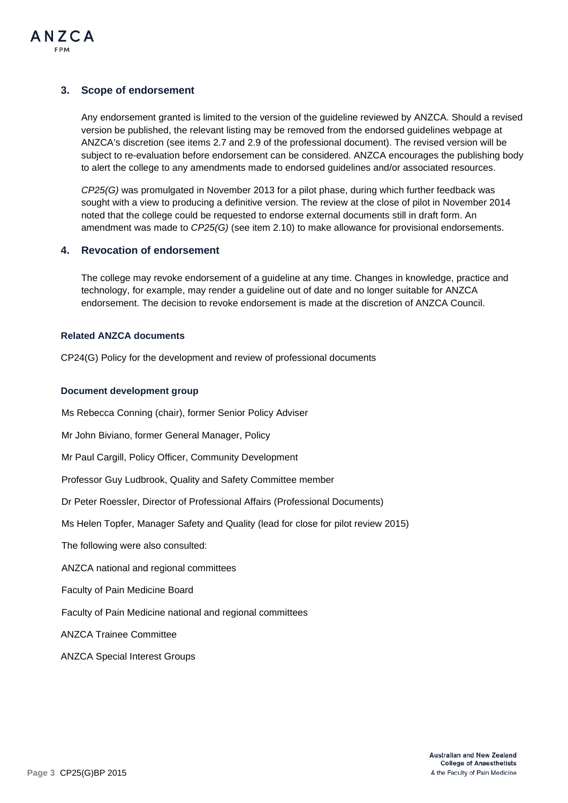

## **3. Scope of endorsement**

Any endorsement granted is limited to the version of the guideline reviewed by ANZCA. Should a revised version be published, the relevant listing may be removed from the endorsed guidelines webpage at ANZCA's discretion (see items 2.7 and 2.9 of the professional document). The revised version will be subject to re-evaluation before endorsement can be considered. ANZCA encourages the publishing body to alert the college to any amendments made to endorsed guidelines and/or associated resources.

*CP25(G)* was promulgated in November 2013 for a pilot phase, during which further feedback was sought with a view to producing a definitive version. The review at the close of pilot in November 2014 noted that the college could be requested to endorse external documents still in draft form. An amendment was made to *CP25(G)* (see item 2.10) to make allowance for provisional endorsements.

## **4. Revocation of endorsement**

The college may revoke endorsement of a guideline at any time. Changes in knowledge, practice and technology, for example, may render a guideline out of date and no longer suitable for ANZCA endorsement. The decision to revoke endorsement is made at the discretion of ANZCA Council.

#### **Related ANZCA documents**

CP24(G) Policy for the development and review of professional documents

#### **Document development group**

Ms Rebecca Conning (chair), former Senior Policy Adviser

Mr John Biviano, former General Manager, Policy

Mr Paul Cargill, Policy Officer, Community Development

Professor Guy Ludbrook, Quality and Safety Committee member

Dr Peter Roessler, Director of Professional Affairs (Professional Documents)

Ms Helen Topfer, Manager Safety and Quality (lead for close for pilot review 2015)

The following were also consulted:

ANZCA national and regional committees

Faculty of Pain Medicine Board

Faculty of Pain Medicine national and regional committees

ANZCA Trainee Committee

ANZCA Special Interest Groups